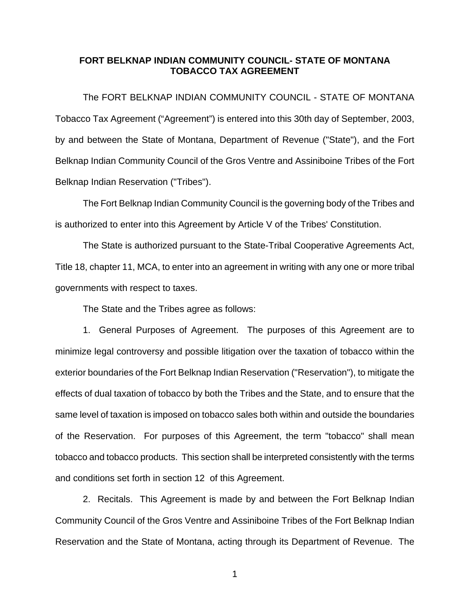## **FORT BELKNAP INDIAN COMMUNITY COUNCIL- STATE OF MONTANA TOBACCO TAX AGREEMENT**

 The FORT BELKNAP INDIAN COMMUNITY COUNCIL - STATE OF MONTANA Tobacco Tax Agreement ("Agreement") is entered into this 30th day of September, 2003, by and between the State of Montana, Department of Revenue ("State"), and the Fort Belknap Indian Community Council of the Gros Ventre and Assiniboine Tribes of the Fort Belknap Indian Reservation ("Tribes").

 The Fort Belknap Indian Community Council is the governing body of the Tribes and is authorized to enter into this Agreement by Article V of the Tribes' Constitution.

 The State is authorized pursuant to the State-Tribal Cooperative Agreements Act, Title 18, chapter 11, MCA, to enter into an agreement in writing with any one or more tribal governments with respect to taxes.

The State and the Tribes agree as follows:

 1. General Purposes of Agreement. The purposes of this Agreement are to minimize legal controversy and possible litigation over the taxation of tobacco within the exterior boundaries of the Fort Belknap Indian Reservation ("Reservation"), to mitigate the effects of dual taxation of tobacco by both the Tribes and the State, and to ensure that the same level of taxation is imposed on tobacco sales both within and outside the boundaries of the Reservation. For purposes of this Agreement, the term "tobacco" shall mean tobacco and tobacco products. This section shall be interpreted consistently with the terms and conditions set forth in section 12 of this Agreement.

 2. Recitals. This Agreement is made by and between the Fort Belknap Indian Community Council of the Gros Ventre and Assiniboine Tribes of the Fort Belknap Indian Reservation and the State of Montana, acting through its Department of Revenue. The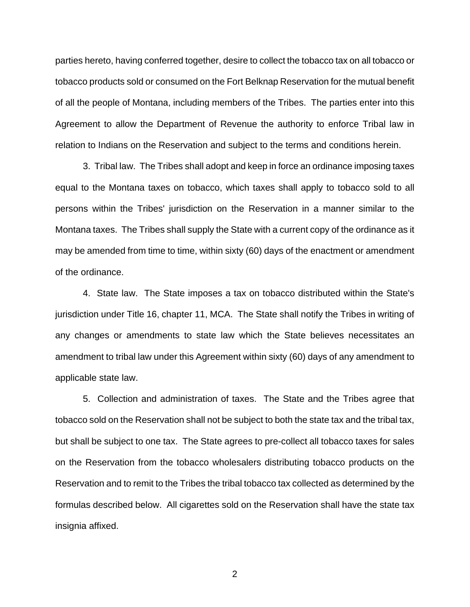parties hereto, having conferred together, desire to collect the tobacco tax on all tobacco or tobacco products sold or consumed on the Fort Belknap Reservation for the mutual benefit of all the people of Montana, including members of the Tribes. The parties enter into this Agreement to allow the Department of Revenue the authority to enforce Tribal law in relation to Indians on the Reservation and subject to the terms and conditions herein.

 3. Tribal law. The Tribes shall adopt and keep in force an ordinance imposing taxes equal to the Montana taxes on tobacco, which taxes shall apply to tobacco sold to all persons within the Tribes' jurisdiction on the Reservation in a manner similar to the Montana taxes. The Tribes shall supply the State with a current copy of the ordinance as it may be amended from time to time, within sixty (60) days of the enactment or amendment of the ordinance.

 4. State law. The State imposes a tax on tobacco distributed within the State's jurisdiction under Title 16, chapter 11, MCA. The State shall notify the Tribes in writing of any changes or amendments to state law which the State believes necessitates an amendment to tribal law under this Agreement within sixty (60) days of any amendment to applicable state law.

5. Collection and administration of taxes. The State and the Tribes agree that tobacco sold on the Reservation shall not be subject to both the state tax and the tribal tax, but shall be subject to one tax. The State agrees to pre-collect all tobacco taxes for sales on the Reservation from the tobacco wholesalers distributing tobacco products on the Reservation and to remit to the Tribes the tribal tobacco tax collected as determined by the formulas described below. All cigarettes sold on the Reservation shall have the state tax insignia affixed.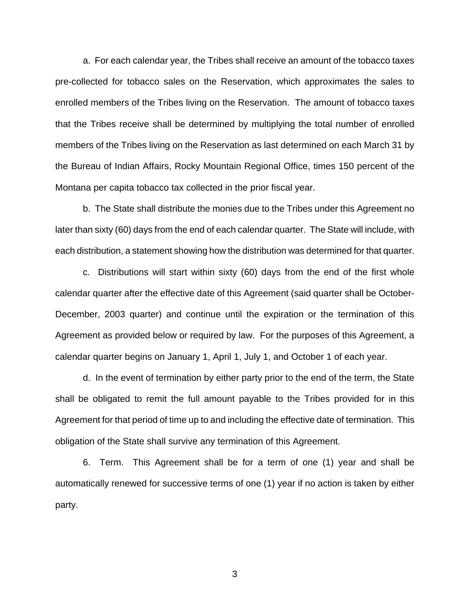a. For each calendar year, the Tribes shall receive an amount of the tobacco taxes pre-collected for tobacco sales on the Reservation, which approximates the sales to enrolled members of the Tribes living on the Reservation. The amount of tobacco taxes that the Tribes receive shall be determined by multiplying the total number of enrolled members of the Tribes living on the Reservation as last determined on each March 31 by the Bureau of Indian Affairs, Rocky Mountain Regional Office, times 150 percent of the Montana per capita tobacco tax collected in the prior fiscal year.

 b. The State shall distribute the monies due to the Tribes under this Agreement no later than sixty (60) days from the end of each calendar quarter. The State will include, with each distribution, a statement showing how the distribution was determined for that quarter.

 c. Distributions will start within sixty (60) days from the end of the first whole calendar quarter after the effective date of this Agreement (said quarter shall be October-December, 2003 quarter) and continue until the expiration or the termination of this Agreement as provided below or required by law. For the purposes of this Agreement, a calendar quarter begins on January 1, April 1, July 1, and October 1 of each year.

 d. In the event of termination by either party prior to the end of the term, the State shall be obligated to remit the full amount payable to the Tribes provided for in this Agreement for that period of time up to and including the effective date of termination. This obligation of the State shall survive any termination of this Agreement.

 6. Term. This Agreement shall be for a term of one (1) year and shall be automatically renewed for successive terms of one (1) year if no action is taken by either party.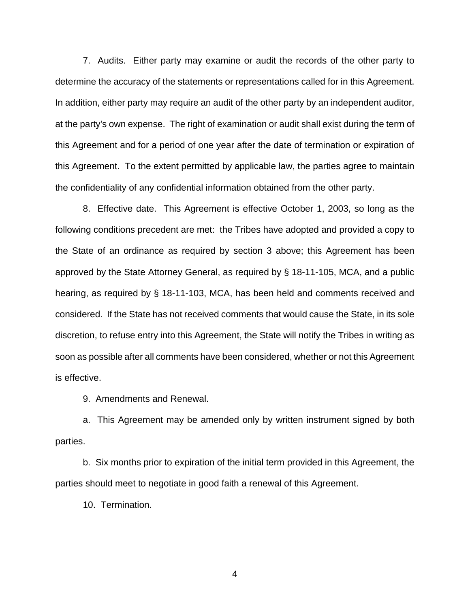7. Audits. Either party may examine or audit the records of the other party to determine the accuracy of the statements or representations called for in this Agreement. In addition, either party may require an audit of the other party by an independent auditor, at the party's own expense. The right of examination or audit shall exist during the term of this Agreement and for a period of one year after the date of termination or expiration of this Agreement. To the extent permitted by applicable law, the parties agree to maintain the confidentiality of any confidential information obtained from the other party.

 8. Effective date. This Agreement is effective October 1, 2003, so long as the following conditions precedent are met: the Tribes have adopted and provided a copy to the State of an ordinance as required by section 3 above; this Agreement has been approved by the State Attorney General, as required by § 18-11-105, MCA, and a public hearing, as required by § 18-11-103, MCA, has been held and comments received and considered. If the State has not received comments that would cause the State, in its sole discretion, to refuse entry into this Agreement, the State will notify the Tribes in writing as soon as possible after all comments have been considered, whether or not this Agreement is effective.

9. Amendments and Renewal.

a. This Agreement may be amended only by written instrument signed by both parties.

b. Six months prior to expiration of the initial term provided in this Agreement, the parties should meet to negotiate in good faith a renewal of this Agreement.

10. Termination.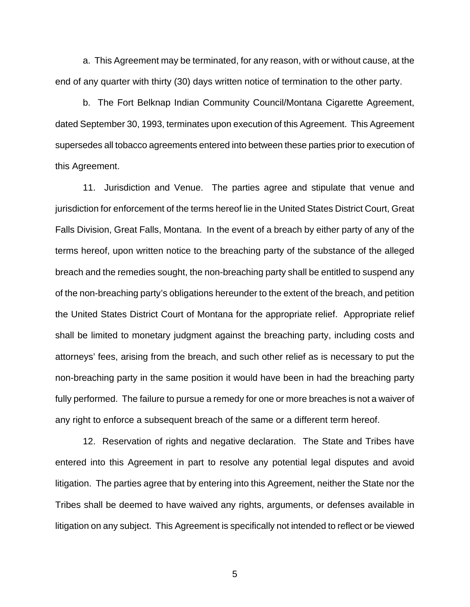a. This Agreement may be terminated, for any reason, with or without cause, at the end of any quarter with thirty (30) days written notice of termination to the other party.

 b. The Fort Belknap Indian Community Council/Montana Cigarette Agreement, dated September 30, 1993, terminates upon execution of this Agreement. This Agreement supersedes all tobacco agreements entered into between these parties prior to execution of this Agreement.

 11. Jurisdiction and Venue. The parties agree and stipulate that venue and jurisdiction for enforcement of the terms hereof lie in the United States District Court, Great Falls Division, Great Falls, Montana. In the event of a breach by either party of any of the terms hereof, upon written notice to the breaching party of the substance of the alleged breach and the remedies sought, the non-breaching party shall be entitled to suspend any of the non-breaching party's obligations hereunder to the extent of the breach, and petition the United States District Court of Montana for the appropriate relief. Appropriate relief shall be limited to monetary judgment against the breaching party, including costs and attorneys' fees, arising from the breach, and such other relief as is necessary to put the non-breaching party in the same position it would have been in had the breaching party fully performed. The failure to pursue a remedy for one or more breaches is not a waiver of any right to enforce a subsequent breach of the same or a different term hereof.

 12. Reservation of rights and negative declaration. The State and Tribes have entered into this Agreement in part to resolve any potential legal disputes and avoid litigation. The parties agree that by entering into this Agreement, neither the State nor the Tribes shall be deemed to have waived any rights, arguments, or defenses available in litigation on any subject. This Agreement is specifically not intended to reflect or be viewed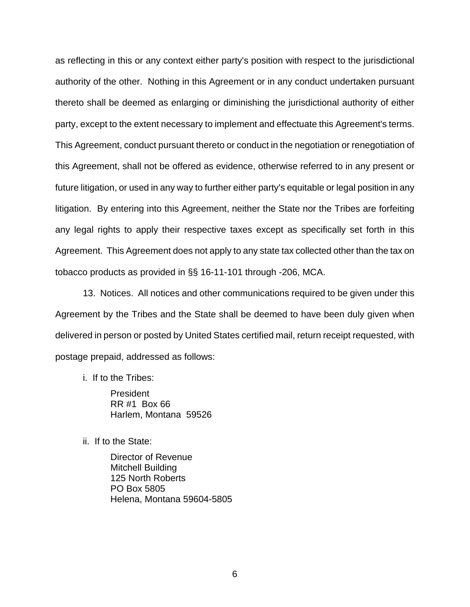as reflecting in this or any context either party's position with respect to the jurisdictional authority of the other. Nothing in this Agreement or in any conduct undertaken pursuant thereto shall be deemed as enlarging or diminishing the jurisdictional authority of either party, except to the extent necessary to implement and effectuate this Agreement's terms. This Agreement, conduct pursuant thereto or conduct in the negotiation or renegotiation of this Agreement, shall not be offered as evidence, otherwise referred to in any present or future litigation, or used in any way to further either party's equitable or legal position in any litigation. By entering into this Agreement, neither the State nor the Tribes are forfeiting any legal rights to apply their respective taxes except as specifically set forth in this Agreement. This Agreement does not apply to any state tax collected other than the tax on tobacco products as provided in §§ 16-11-101 through -206, MCA.

 13. Notices. All notices and other communications required to be given under this Agreement by the Tribes and the State shall be deemed to have been duly given when delivered in person or posted by United States certified mail, return receipt requested, with postage prepaid, addressed as follows:

i. If to the Tribes:

 President RR #1 Box 66 Harlem, Montana 59526

ii. If to the State:

 Director of Revenue Mitchell Building 125 North Roberts PO Box 5805 Helena, Montana 59604-5805